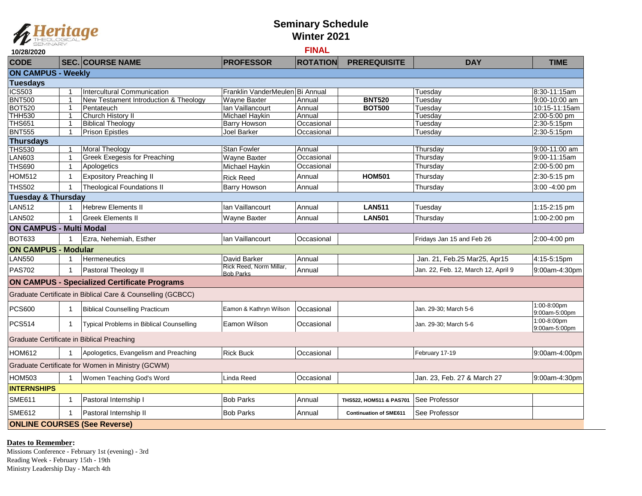

## **Seminary Schedule Winter 2021**

## **10/28/2020 FINAL**

| <b>CODE</b>                                       |   | <b>SEC. COURSE NAME</b>                                     | <b>PROFESSOR</b>                            | <b>ROTATION</b> | <b>PREREQUISITE</b>           | <b>DAY</b>                          | <b>TIME</b>                  |  |  |  |  |  |
|---------------------------------------------------|---|-------------------------------------------------------------|---------------------------------------------|-----------------|-------------------------------|-------------------------------------|------------------------------|--|--|--|--|--|
| <b>ON CAMPUS - Weekly</b>                         |   |                                                             |                                             |                 |                               |                                     |                              |  |  |  |  |  |
| <b>Tuesdays</b>                                   |   |                                                             |                                             |                 |                               |                                     |                              |  |  |  |  |  |
| <b>ICS503</b>                                     |   | Intercultural Communication                                 | Franklin VanderMeulen Bi Annual             |                 |                               | Tuesdav                             | 8:30-11:15am                 |  |  |  |  |  |
| <b>BNT500</b>                                     |   | New Testament Introduction & Theology                       | <b>Wayne Baxter</b>                         | Annual          | <b>BNT520</b>                 | Tuesdav                             | $9:00 - 10:00$ am            |  |  |  |  |  |
| <b>BOT520</b>                                     |   | Pentateuch                                                  | Ian Vaillancourt                            | Annual          | <b>BOT500</b>                 | Tuesdav                             | 10:15-11:15am                |  |  |  |  |  |
| <b>THH530</b>                                     |   | Church History II                                           | Michael Haykin                              | Annual          |                               | Tuesday                             | 2:00-5:00 pm                 |  |  |  |  |  |
| <b>THS651</b>                                     |   | <b>Biblical Theology</b>                                    | Barry Howson                                | Occasional      |                               | Tuesday                             | 2:30-5:15pm                  |  |  |  |  |  |
| <b>BNT555</b>                                     |   | <b>Prison Epistles</b>                                      | Joel Barker                                 | Occasional      |                               | Tuesdav                             | 2:30-5:15pm                  |  |  |  |  |  |
| <b>Thursdays</b>                                  |   |                                                             |                                             |                 |                               |                                     |                              |  |  |  |  |  |
| <b>THS530</b>                                     |   | <b>Moral Theology</b>                                       | <b>Stan Fowler</b>                          | Annual          |                               | Thursdav                            | 9:00-11:00 am                |  |  |  |  |  |
| <b>LAN603</b>                                     |   | Greek Exegesis for Preaching                                | Wayne Baxter                                | Occasional      |                               | Thursday                            | 9:00-11:15am                 |  |  |  |  |  |
| <b>THS690</b>                                     |   | Apologetics                                                 | Michael Haykin                              | Occasional      |                               | Thursday                            | 2:00-5:00 pm                 |  |  |  |  |  |
| <b>HOM512</b>                                     |   | <b>Expository Preaching II</b>                              | <b>Rick Reed</b>                            | Annual          | <b>HOM501</b>                 | Thursdav                            | 2:30-5:15 pm                 |  |  |  |  |  |
| <b>THS502</b>                                     |   | <b>Theological Foundations II</b>                           | <b>Barry Howson</b>                         | Annual          |                               | Thursdav                            | 3:00 -4:00 pm                |  |  |  |  |  |
| <b>Tuesday &amp; Thursday</b>                     |   |                                                             |                                             |                 |                               |                                     |                              |  |  |  |  |  |
| <b>LAN512</b>                                     |   | <b>Hebrew Elements II</b>                                   | Ian Vaillancourt                            | Annual          | <b>LAN511</b>                 | Tuesday                             | 1:15-2:15 pm                 |  |  |  |  |  |
| <b>LAN502</b>                                     |   | <b>Greek Elements II</b>                                    | <b>Wayne Baxter</b>                         | Annual          | <b>LAN501</b>                 | Thursday                            | 1:00-2:00 pm                 |  |  |  |  |  |
| <b>ON CAMPUS - Multi Modal</b>                    |   |                                                             |                                             |                 |                               |                                     |                              |  |  |  |  |  |
| <b>BOT633</b>                                     |   | Ezra, Nehemiah, Esther                                      | Ian Vaillancourt                            | Occasional      |                               | Fridays Jan 15 and Feb 26           | 2:00-4:00 pm                 |  |  |  |  |  |
| <b>ON CAMPUS - Modular</b>                        |   |                                                             |                                             |                 |                               |                                     |                              |  |  |  |  |  |
| <b>LAN550</b>                                     |   | Hermeneutics                                                | David Barker                                | Annual          |                               | Jan. 21, Feb.25 Mar25, Apr15        | 4:15-5:15pm                  |  |  |  |  |  |
| <b>PAS702</b>                                     |   | Pastoral Theology II                                        | Rick Reed, Norm Millar,<br><b>Bob Parks</b> | Annual          |                               | Jan. 22, Feb. 12, March 12, April 9 | 9:00am-4:30pm                |  |  |  |  |  |
|                                                   |   | <b>ON CAMPUS - Specialized Certificate Programs</b>         |                                             |                 |                               |                                     |                              |  |  |  |  |  |
|                                                   |   | Graduate Certificate in Biblical Care & Counselling (GCBCC) |                                             |                 |                               |                                     |                              |  |  |  |  |  |
| <b>PCS600</b>                                     |   |                                                             |                                             | Occasional      |                               |                                     | $1:00 - 8:00$ pm             |  |  |  |  |  |
|                                                   |   | <b>Biblical Counselling Practicum</b>                       | Eamon & Kathryn Wilson                      |                 |                               | Jan. 29-30; March 5-6               | 9:00am-5:00pm                |  |  |  |  |  |
| <b>PCS514</b>                                     | 1 | Typical Problems in Biblical Counselling                    | Eamon Wilson                                | Occasional      |                               | Jan. 29-30; March 5-6               | 1:00-8:00pm<br>9:00am-5:00pm |  |  |  |  |  |
| Graduate Certificate in Biblical Preaching        |   |                                                             |                                             |                 |                               |                                     |                              |  |  |  |  |  |
| <b>HOM612</b>                                     |   | Apologetics, Evangelism and Preaching                       | <b>Rick Buck</b>                            | Occasional      |                               | February 17-19                      | 9:00am-4:00pm                |  |  |  |  |  |
| Graduate Certificate for Women in Ministry (GCWM) |   |                                                             |                                             |                 |                               |                                     |                              |  |  |  |  |  |
| <b>HOM503</b>                                     |   | Women Teaching God's Word                                   | Linda Reed                                  | Occasional      |                               | Jan. 23, Feb. 27 & March 27         | 9:00am-4:30pm                |  |  |  |  |  |
| <b>INTERNSHIPS</b>                                |   |                                                             |                                             |                 |                               |                                     |                              |  |  |  |  |  |
| <b>SME611</b>                                     |   | Pastoral Internship I                                       | <b>Bob Parks</b>                            | Annual          | THS522, HOM511 & PAS701       | See Professor                       |                              |  |  |  |  |  |
| <b>SME612</b>                                     |   | Pastoral Internship II                                      | <b>Bob Parks</b>                            | Annual          | <b>Continuation of SME611</b> | See Professor                       |                              |  |  |  |  |  |
|                                                   |   | <b>ONLINE COURSES (See Reverse)</b>                         |                                             |                 |                               |                                     |                              |  |  |  |  |  |

**Dates to Remember:** 

Missions Conference - February 1st (evening) - 3rd Reading Week - February 15th - 19th Ministry Leadership Day - March 4th